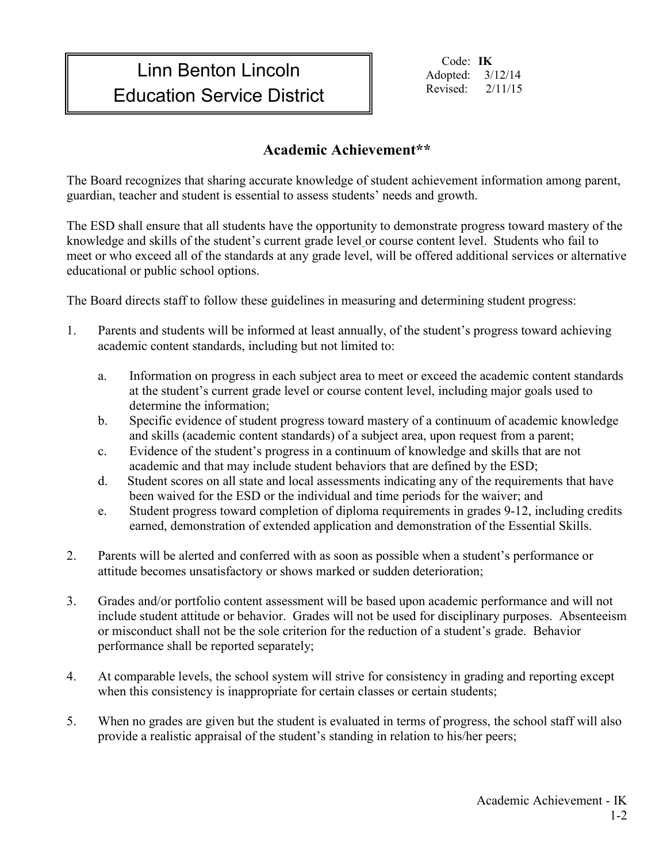## Linn Benton Lincoln Education Service District

Code: **IK** Adopted: 3/12/14 Revised: 2/11/15

## **Academic Achievement\*\***

The Board recognizes that sharing accurate knowledge of student achievement information among parent, guardian, teacher and student is essential to assess students' needs and growth.

The ESD shall ensure that all students have the opportunity to demonstrate progress toward mastery of the knowledge and skills of the student's current grade level or course content level. Students who fail to meet or who exceed all of the standards at any grade level, will be offered additional services or alternative educational or public school options.

The Board directs staff to follow these guidelines in measuring and determining student progress:

- 1. Parents and students will be informed at least annually, of the student's progress toward achieving academic content standards, including but not limited to:
	- a. Information on progress in each subject area to meet or exceed the academic content standards at the student's current grade level or course content level, including major goals used to determine the information;
	- b. Specific evidence of student progress toward mastery of a continuum of academic knowledge and skills (academic content standards) of a subject area, upon request from a parent;
	- c. Evidence of the student's progress in a continuum of knowledge and skills that are not academic and that may include student behaviors that are defined by the ESD;
	- d. Student scores on all state and local assessments indicating any of the requirements that have been waived for the ESD or the individual and time periods for the waiver; and
	- e. Student progress toward completion of diploma requirements in grades 9-12, including credits earned, demonstration of extended application and demonstration of the Essential Skills.
- 2. Parents will be alerted and conferred with as soon as possible when a student's performance or attitude becomes unsatisfactory or shows marked or sudden deterioration;
- 3. Grades and/or portfolio content assessment will be based upon academic performance and will not include student attitude or behavior. Grades will not be used for disciplinary purposes. Absenteeism or misconduct shall not be the sole criterion for the reduction of a student's grade. Behavior performance shall be reported separately;
- 4. At comparable levels, the school system will strive for consistency in grading and reporting except when this consistency is inappropriate for certain classes or certain students;
- 5. When no grades are given but the student is evaluated in terms of progress, the school staff will also provide a realistic appraisal of the student's standing in relation to his/her peers;